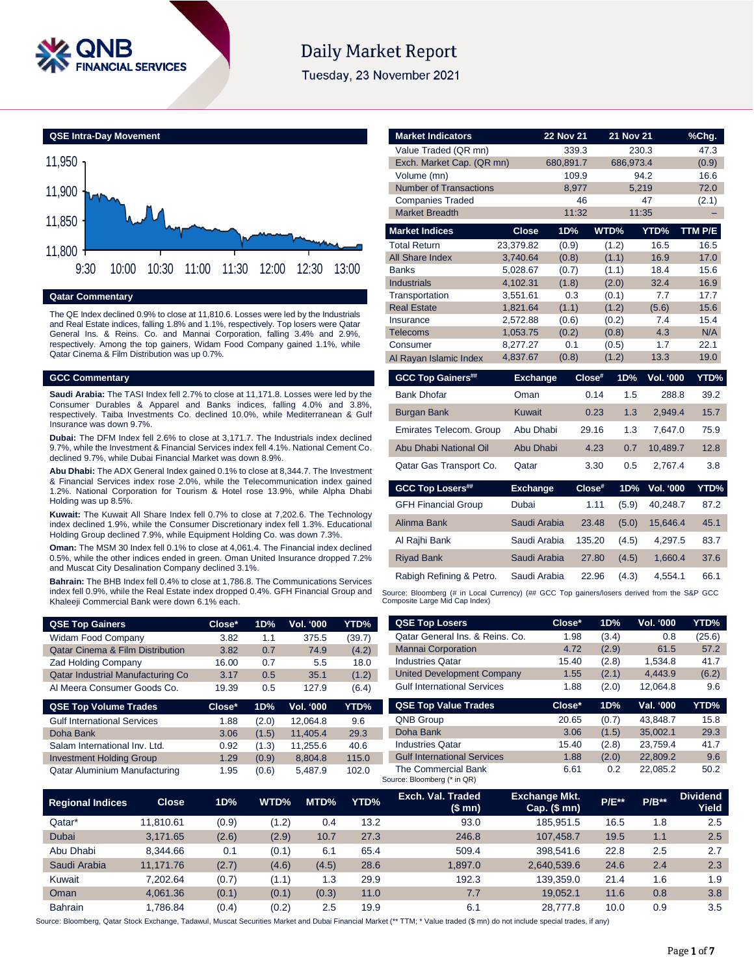

# **Daily Market Report**

Tuesday, 23 November 2021



# **Qatar Commentary**

The QE Index declined 0.9% to close at 11,810.6. Losses were led by the Industrials and Real Estate indices, falling 1.8% and 1.1%, respectively. Top losers were Qatar General Ins. & Reins. Co. and Mannai Corporation, falling 3.4% and 2.9%, respectively. Among the top gainers, Widam Food Company gained 1.1%, while Qatar Cinema & Film Distribution was up 0.7%.

### **GCC Commentary**

**Saudi Arabia:** The TASI Index fell 2.7% to close at 11,171.8. Losses were led by the Consumer Durables & Apparel and Banks indices, falling 4.0% and 3.8%, respectively. Taiba Investments Co. declined 10.0%, while Mediterranean & Gulf Insurance was down 9.7%.

**Dubai:** The DFM Index fell 2.6% to close at 3,171.7. The Industrials index declined 9.7%, while the Investment & Financial Services index fell 4.1%. National Cement Co. declined 9.7%, while Dubai Financial Market was down 8.9%.

**Abu Dhabi:** The ADX General Index gained 0.1% to close at 8,344.7. The Investment & Financial Services index rose 2.0%, while the Telecommunication index gained 1.2%. National Corporation for Tourism & Hotel rose 13.9%, while Alpha Dhabi Holding was up 8.5%.

**Kuwait:** The Kuwait All Share Index fell 0.7% to close at 7,202.6. The Technology index declined 1.9%, while the Consumer Discretionary index fell 1.3%. Educational Holding Group declined 7.9%, while Equipment Holding Co. was down 7.3%.

**Oman:** The MSM 30 Index fell 0.1% to close at 4,061.4. The Financial index declined 0.5%, while the other indices ended in green. Oman United Insurance dropped 7.2% and Muscat City Desalination Company declined 3.1%.

**Bahrain:** The BHB Index fell 0.4% to close at 1,786.8. The Communications Services index fell 0.9%, while the Real Estate index dropped 0.4%. GFH Financial Group and Khaleeji Commercial Bank were down 6.1% each.

| <b>QSE Top Gainers</b>                      | $Close*$ | 1D%           | <b>Vol. '000</b> | YTD%   |
|---------------------------------------------|----------|---------------|------------------|--------|
| <b>Widam Food Company</b>                   | 3.82     | 1.1           | 375.5            | (39.7) |
| <b>Qatar Cinema &amp; Film Distribution</b> | 3.82     | 0.7           | 74.9             | (4.2)  |
| <b>Zad Holding Company</b>                  | 16.00    | 0.7           | 5.5              | 18.0   |
| <b>Qatar Industrial Manufacturing Co</b>    | 3.17     | 0.5           | 35.1             | (1.2)  |
| Al Meera Consumer Goods Co.                 | 19.39    | $0.5^{\circ}$ | 127.9            | (6.4)  |

| <b>QSE Top Volume Trades</b>       | Close* | 1D%   | <b>Vol. '000</b> | YTD%  |
|------------------------------------|--------|-------|------------------|-------|
| <b>Gulf International Services</b> | 1.88   | (2.0) | 12,064.8         | 9.6   |
| Doha Bank                          | 3.06   | (1.5) | 11.405.4         | 29.3  |
| Salam International Inv. Ltd.      | 0.92   | (1.3) | 11.255.6         | 40.6  |
| <b>Investment Holding Group</b>    | 1.29   | (0.9) | 8,804.8          | 115.0 |
| Qatar Aluminium Manufacturing      | 1.95   | (0.6) | 5.487.9          | 102.0 |

| <b>Market Indicators</b>                                                           |                                                | <b>22 Nov 21</b> |                                              | <b>21 Nov 21</b>        | %Chg.   |
|------------------------------------------------------------------------------------|------------------------------------------------|------------------|----------------------------------------------|-------------------------|---------|
| Value Traded (QR mn)                                                               |                                                | 339.3            |                                              | 230.3                   | 47.3    |
| Exch. Market Cap. (QR mn)                                                          |                                                | 680,891.7        |                                              | 686,973.4               | (0.9)   |
| Volume (mn)                                                                        |                                                | 109.9            |                                              | 94.2                    | 16.6    |
| <b>Number of Transactions</b>                                                      |                                                | 8,977            |                                              | 5,219                   | 72.0    |
| <b>Companies Traded</b>                                                            |                                                | 46               |                                              | 47                      | (2.1)   |
| <b>Market Breadth</b>                                                              |                                                | 11:32            |                                              | 11:35                   |         |
| <b>Market Indices</b>                                                              | <b>Close</b>                                   | 1D%              | WTD%                                         | YTD%                    | TTM P/E |
| <b>Total Return</b>                                                                | 23,379.82                                      | (0.9)            | (1.2)                                        | 16.5                    | 16.5    |
| <b>All Share Index</b>                                                             | 3,740.64                                       | (0.8)            | (1.1)                                        | 16.9                    | 17.0    |
| <b>Banks</b>                                                                       | 5,028.67                                       | (0.7)            | (1.1)                                        | 18.4                    | 15.6    |
| <b>Industrials</b>                                                                 | 4,102.31                                       | (1.8)            | (2.0)                                        | 32.4                    | 16.9    |
| Transportation                                                                     | 3,551.61                                       | 0.3              | (0.1)                                        | 7.7                     | 17.7    |
| <b>Real Estate</b>                                                                 | 1,821.64                                       | (1.1)            | (1.2)                                        | (5.6)                   | 15.6    |
| Insurance                                                                          | 2,572.88                                       | (0.6)            | (0.2)                                        | 7.4                     | 15.4    |
| <b>Telecoms</b>                                                                    | 1,053.75                                       | (0.2)            | (0.8)                                        | 4.3                     | N/A     |
| Consumer                                                                           | 8,277.27                                       | 0.1              | (0.5)                                        | 1.7                     | 22.1    |
| Al Rayan Islamic Index                                                             | 4,837.67                                       | (0.8)            | (1.2)                                        | 13.3                    | 19.0    |
| <b>GCC Top Gainers##</b>                                                           | <b>Exchange</b>                                |                  | Close#<br>1D%                                | <b>Vol. '000</b>        | YTD%    |
| <b>Bank Dhofar</b>                                                                 | Oman                                           |                  | 0.14                                         | 1.5<br>288.8            | 39.2    |
| <b>Burgan Bank</b>                                                                 | <b>Kuwait</b>                                  |                  | 0.23                                         | 1.3<br>2,949.4          | 15.7    |
| Emirates Telecom. Group                                                            | Abu Dhabi                                      |                  | 29.16                                        | 1.3<br>7.647.0          | 75.9    |
| Abu Dhabi National Oil                                                             | Abu Dhabi                                      |                  | 4.23                                         | 0.7<br>10,489.7         | 12.8    |
| Qatar Gas Transport Co.                                                            | Qatar                                          |                  | 3.30                                         | 0.5<br>2,767.4          | 3.8     |
| <b>GCC Top Losers##</b>                                                            | <b>Exchange</b>                                |                  | Close#                                       | 1D%<br><b>Vol. '000</b> | YTD%    |
| $\bigcap \square \cup \square \cup \square \cup \square \cup \square \cap \square$ | $\mathbf{D}$ and $\mathbf{D}$ and $\mathbf{D}$ |                  | $\overline{A}$ $\overline{A}$ $\overline{A}$ | $(5.0)$ $(0.0107)$      |         |

| <b>GFH Financial Group</b> | Dubai        | 1.11   | (5.9) | 40.248.7 | 87.2 |
|----------------------------|--------------|--------|-------|----------|------|
| Alinma Bank                | Saudi Arabia | 23.48  | (5.0) | 15.646.4 | 45.1 |
| Al Rajhi Bank              | Saudi Arabia | 135.20 | (4.5) | 4.297.5  | 83.7 |
| <b>Riyad Bank</b>          | Saudi Arabia | 27.80  | (4.5) | 1.660.4  | 37.6 |
| Rabigh Refining & Petro.   | Saudi Arabia | 22.96  | (4.3) | 4,554.1  | 66.1 |

Source: Bloomberg (# in Local Currency) (## GCC Top gainers/losers derived from the S&P GCC Composite Large Mid Cap Index)

| <b>QSE Top Losers</b>              | Close* | 1D%   | <b>Vol. '000</b> | YTD%   |
|------------------------------------|--------|-------|------------------|--------|
| Qatar General Ins. & Reins. Co.    | 1.98   | (3.4) | 0.8              | (25.6) |
| <b>Mannai Corporation</b>          | 4.72   | (2.9) | 61.5             | 57.2   |
| <b>Industries Qatar</b>            | 15.40  | (2.8) | 1,534.8          | 41.7   |
| <b>United Development Company</b>  | 1.55   | (2.1) | 4.443.9          | (6.2)  |
| <b>Gulf International Services</b> | 1.88   | (2.0) | 12.064.8         | 9.6    |
|                                    |        |       |                  |        |
| <b>QSE Top Value Trades</b>        | Close* | 1D%   | Val. '000        | YTD%   |
| <b>QNB Group</b>                   | 20.65  | (0.7) | 43.848.7         | 15.8   |
| Doha Bank                          | 3.06   | (1.5) | 35,002.1         | 29.3   |
| <b>Industries Oatar</b>            | 15.40  | (2.8) | 23.759.4         | 41.7   |
| <b>Gulf International Services</b> | 1.88   | (2.0) | 22.809.2         | 9.6    |

| <b>Regional Indices</b> | Close     | 1D%   | WTD%  | MTD%  | YTD% | Exch. Val. Traded<br>(\$ mn) | <b>Exchange Mkt.</b><br>Cap. (\$ mn) | <b>P/E**</b> | $P/B**$ | <b>Dividend</b><br>Yield |
|-------------------------|-----------|-------|-------|-------|------|------------------------------|--------------------------------------|--------------|---------|--------------------------|
| Qatar*                  | 11.810.61 | (0.9) | (1.2) | 0.4   | 13.2 | 93.0                         | 185.951.5                            | 16.5         | 1.8     | 2.5                      |
| <b>Dubai</b>            | 3.171.65  | (2.6) | (2.9) | 10.7  | 27.3 | 246.8                        | 107.458.7                            | 19.5         | 1.1     | 2.5                      |
| Abu Dhabi               | 8.344.66  | 0.1   | (0.1) | 6.1   | 65.4 | 509.4                        | 398.541.6                            | 22.8         | 2.5     | 2.7                      |
| Saudi Arabia            | 11.171.76 | (2.7) | (4.6) | (4.5) | 28.6 | .897.0                       | 2.640.539.6                          | 24.6         | 2.4     | 2.3                      |
| Kuwait                  | 7.202.64  | (0.7) | (1.1) | 1.3   | 29.9 | 192.3                        | 139.359.0                            | 21.4         | 1.6     | 1.9                      |
| Oman                    | 4.061.36  | (0.1) | (0.1) | (0.3) | 11.0 | 7.7                          | 19.052.1                             | 11.6         | 0.8     | 3.8                      |
| <b>Bahrain</b>          | .786.84   | (0.4) | (0.2) | 2.5   | 19.9 | 6.1                          | 28.777.8                             | 10.0         | 0.9     | 3.5                      |

Source: Bloomberg, Qatar Stock Exchange, Tadawul, Muscat Securities Market and Dubai Financial Market (\*\* TTM; \* Value traded (\$ mn) do not include special trades, if any)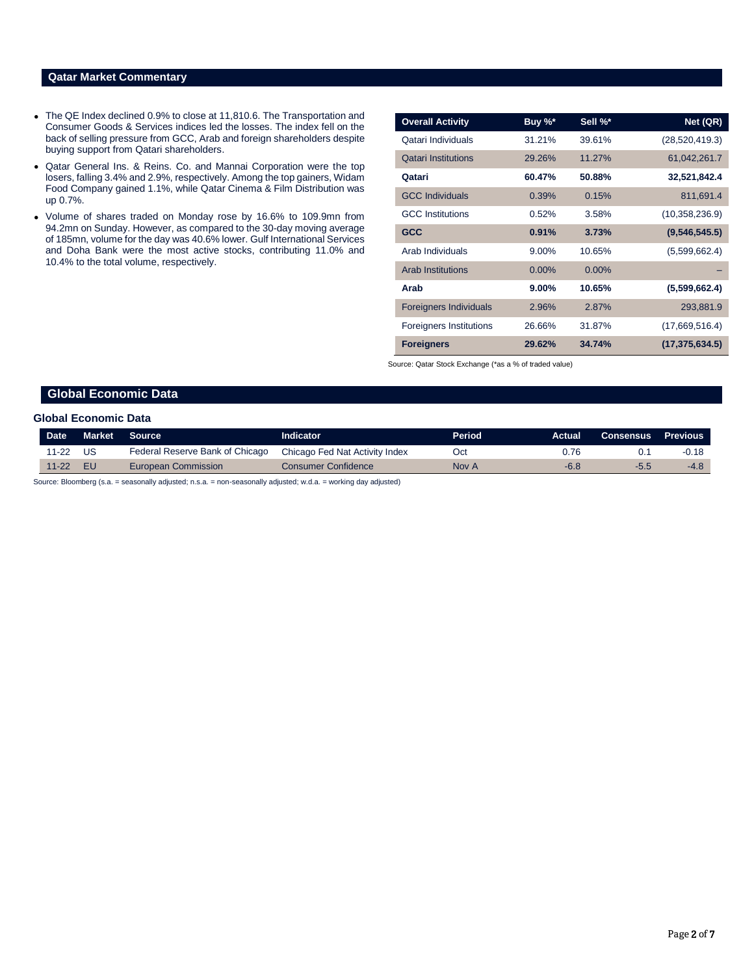# **Qatar Market Commentary**

- The QE Index declined 0.9% to close at 11,810.6. The Transportation and Consumer Goods & Services indices led the losses. The index fell on the back of selling pressure from GCC, Arab and foreign shareholders despite buying support from Qatari shareholders.
- Qatar General Ins. & Reins. Co. and Mannai Corporation were the top losers, falling 3.4% and 2.9%, respectively. Among the top gainers, Widam Food Company gained 1.1%, while Qatar Cinema & Film Distribution was up 0.7%.
- Volume of shares traded on Monday rose by 16.6% to 109.9mn from 94.2mn on Sunday. However, as compared to the 30-day moving average of 185mn, volume for the day was 40.6% lower. Gulf International Services and Doha Bank were the most active stocks, contributing 11.0% and 10.4% to the total volume, respectively.

| <b>Overall Activity</b>        | Buy %*   | Sell %*  | Net (QR)         |
|--------------------------------|----------|----------|------------------|
| Qatari Individuals             | 31.21%   | 39.61%   | (28, 520, 419.3) |
| <b>Qatari Institutions</b>     | 29.26%   | 11.27%   | 61,042,261.7     |
| Qatari                         | 60.47%   | 50.88%   | 32,521,842.4     |
| <b>GCC Individuals</b>         | 0.39%    | 0.15%    | 811,691.4        |
| <b>GCC</b> Institutions        | 0.52%    | 3.58%    | (10, 358, 236.9) |
| <b>GCC</b>                     | 0.91%    | 3.73%    | (9,546,545.5)    |
| Arab Individuals               | 9.00%    | 10.65%   | (5,599,662.4)    |
| <b>Arab Institutions</b>       | $0.00\%$ | $0.00\%$ |                  |
| Arab                           | $9.00\%$ | 10.65%   | (5,599,662.4)    |
| <b>Foreigners Individuals</b>  | 2.96%    | 2.87%    | 293,881.9        |
| <b>Foreigners Institutions</b> | 26.66%   | 31.87%   | (17,669,516.4)   |
| <b>Foreigners</b>              | 29.62%   | 34.74%   | (17, 375, 634.5) |

Source: Qatar Stock Exchange (\*as a % of traded value)

# **Global Economic Data**

#### **Global Economic Data**

| Date      | Market                                                                                                        | <b>Source</b>                   | <b>Indicator</b>               | <b>Period</b> | Actual | <b>Consensus</b> | <b>Previous</b> |  |  |
|-----------|---------------------------------------------------------------------------------------------------------------|---------------------------------|--------------------------------|---------------|--------|------------------|-----------------|--|--|
| $11 - 22$ | US.                                                                                                           | Federal Reserve Bank of Chicago | Chicago Fed Nat Activity Index | Oct           | 0.76   |                  | $-0.18$         |  |  |
| $11 - 22$ | - EU                                                                                                          | European Commission             | Consumer Confidence            | Nov A         | $-6.8$ | -5.5             | $-4.8$          |  |  |
|           | Courses Disordered (a.g. Londonally adjusted a.g. Londonally adjusted und all united in a disording the state |                                 |                                |               |        |                  |                 |  |  |

Source: Bloomberg (s.a. = seasonally adjusted; n.s.a. = non-seasonally adjusted; w.d.a. = working day adjusted)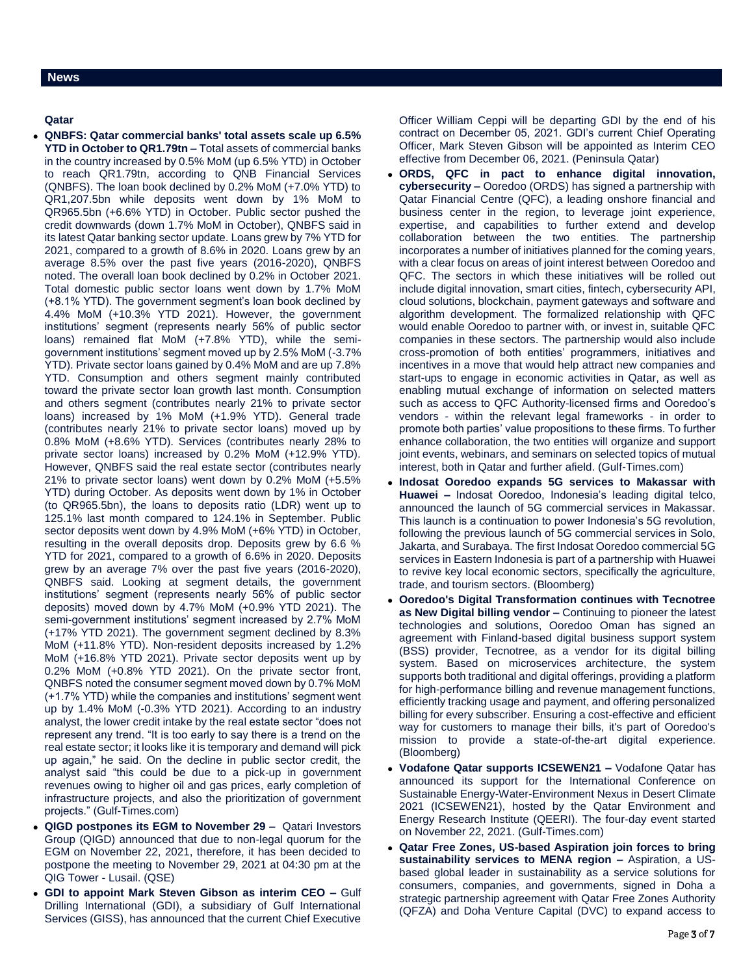# **Qatar**

- **QNBFS: Qatar commercial banks' total assets scale up 6.5% YTD in October to QR1.79tn –** Total assets of commercial banks in the country increased by 0.5% MoM (up 6.5% YTD) in October to reach QR1.79tn, according to QNB Financial Services (QNBFS). The loan book declined by 0.2% MoM (+7.0% YTD) to QR1,207.5bn while deposits went down by 1% MoM to QR965.5bn (+6.6% YTD) in October. Public sector pushed the credit downwards (down 1.7% MoM in October), QNBFS said in its latest Qatar banking sector update. Loans grew by 7% YTD for 2021, compared to a growth of 8.6% in 2020. Loans grew by an average 8.5% over the past five years (2016-2020), QNBFS noted. The overall loan book declined by 0.2% in October 2021. Total domestic public sector loans went down by 1.7% MoM (+8.1% YTD). The government segment's loan book declined by 4.4% MoM (+10.3% YTD 2021). However, the government institutions' segment (represents nearly 56% of public sector loans) remained flat MoM (+7.8% YTD), while the semigovernment institutions' segment moved up by 2.5% MoM (-3.7% YTD). Private sector loans gained by 0.4% MoM and are up 7.8% YTD. Consumption and others segment mainly contributed toward the private sector loan growth last month. Consumption and others segment (contributes nearly 21% to private sector loans) increased by 1% MoM (+1.9% YTD). General trade (contributes nearly 21% to private sector loans) moved up by 0.8% MoM (+8.6% YTD). Services (contributes nearly 28% to private sector loans) increased by 0.2% MoM (+12.9% YTD). However, QNBFS said the real estate sector (contributes nearly 21% to private sector loans) went down by 0.2% MoM (+5.5% YTD) during October. As deposits went down by 1% in October (to QR965.5bn), the loans to deposits ratio (LDR) went up to 125.1% last month compared to 124.1% in September. Public sector deposits went down by 4.9% MoM (+6% YTD) in October, resulting in the overall deposits drop. Deposits grew by 6.6 % YTD for 2021, compared to a growth of 6.6% in 2020. Deposits grew by an average 7% over the past five years (2016-2020), QNBFS said. Looking at segment details, the government institutions' segment (represents nearly 56% of public sector deposits) moved down by 4.7% MoM (+0.9% YTD 2021). The semi-government institutions' segment increased by 2.7% MoM (+17% YTD 2021). The government segment declined by 8.3% MoM (+11.8% YTD). Non-resident deposits increased by 1.2% MoM (+16.8% YTD 2021). Private sector deposits went up by 0.2% MoM (+0.8% YTD 2021). On the private sector front, QNBFS noted the consumer segment moved down by 0.7% MoM (+1.7% YTD) while the companies and institutions' segment went up by 1.4% MoM (-0.3% YTD 2021). According to an industry analyst, the lower credit intake by the real estate sector "does not represent any trend. "It is too early to say there is a trend on the real estate sector; it looks like it is temporary and demand will pick up again," he said. On the decline in public sector credit, the analyst said "this could be due to a pick-up in government revenues owing to higher oil and gas prices, early completion of infrastructure projects, and also the prioritization of government projects." (Gulf-Times.com)
- **QIGD postpones its EGM to November 29 –** Qatari Investors Group (QIGD) announced that due to non-legal quorum for the EGM on November 22, 2021, therefore, it has been decided to postpone the meeting to November 29, 2021 at 04:30 pm at the QIG Tower - Lusail. (QSE)
- **GDI to appoint Mark Steven Gibson as interim CEO –** Gulf Drilling International (GDI), a subsidiary of Gulf International Services (GISS), has announced that the current Chief Executive

Officer William Ceppi will be departing GDI by the end of his contract on December 05, 2021. GDI's current Chief Operating Officer, Mark Steven Gibson will be appointed as Interim CEO effective from December 06, 2021. (Peninsula Qatar)

- **ORDS, QFC in pact to enhance digital innovation, cybersecurity –** Ooredoo (ORDS) has signed a partnership with Qatar Financial Centre (QFC), a leading onshore financial and business center in the region, to leverage joint experience, expertise, and capabilities to further extend and develop collaboration between the two entities. The partnership incorporates a number of initiatives planned for the coming years, with a clear focus on areas of joint interest between Ooredoo and QFC. The sectors in which these initiatives will be rolled out include digital innovation, smart cities, fintech, cybersecurity API, cloud solutions, blockchain, payment gateways and software and algorithm development. The formalized relationship with QFC would enable Ooredoo to partner with, or invest in, suitable QFC companies in these sectors. The partnership would also include cross-promotion of both entities' programmers, initiatives and incentives in a move that would help attract new companies and start-ups to engage in economic activities in Qatar, as well as enabling mutual exchange of information on selected matters such as access to QFC Authority-licensed firms and Ooredoo's vendors - within the relevant legal frameworks - in order to promote both parties' value propositions to these firms. To further enhance collaboration, the two entities will organize and support joint events, webinars, and seminars on selected topics of mutual interest, both in Qatar and further afield. (Gulf-Times.com)
- **Indosat Ooredoo expands 5G services to Makassar with Huawei –** Indosat Ooredoo, Indonesia's leading digital telco, announced the launch of 5G commercial services in Makassar. This launch is a continuation to power Indonesia's 5G revolution, following the previous launch of 5G commercial services in Solo, Jakarta, and Surabaya. The first Indosat Ooredoo commercial 5G services in Eastern Indonesia is part of a partnership with Huawei to revive key local economic sectors, specifically the agriculture, trade, and tourism sectors. (Bloomberg)
- **Ooredoo's Digital Transformation continues with Tecnotree as New Digital billing vendor –** Continuing to pioneer the latest technologies and solutions, Ooredoo Oman has signed an agreement with Finland-based digital business support system (BSS) provider, Tecnotree, as a vendor for its digital billing system. Based on microservices architecture, the system supports both traditional and digital offerings, providing a platform for high-performance billing and revenue management functions, efficiently tracking usage and payment, and offering personalized billing for every subscriber. Ensuring a cost-effective and efficient way for customers to manage their bills, it's part of Ooredoo's mission to provide a state-of-the-art digital experience. (Bloomberg)
- **Vodafone Qatar supports ICSEWEN21 –** Vodafone Qatar has announced its support for the International Conference on Sustainable Energy-Water-Environment Nexus in Desert Climate 2021 (ICSEWEN21), hosted by the Qatar Environment and Energy Research Institute (QEERI). The four-day event started on November 22, 2021. (Gulf-Times.com)
- **Qatar Free Zones, US-based Aspiration join forces to bring sustainability services to MENA region –** Aspiration, a USbased global leader in sustainability as a service solutions for consumers, companies, and governments, signed in Doha a strategic partnership agreement with Qatar Free Zones Authority (QFZA) and Doha Venture Capital (DVC) to expand access to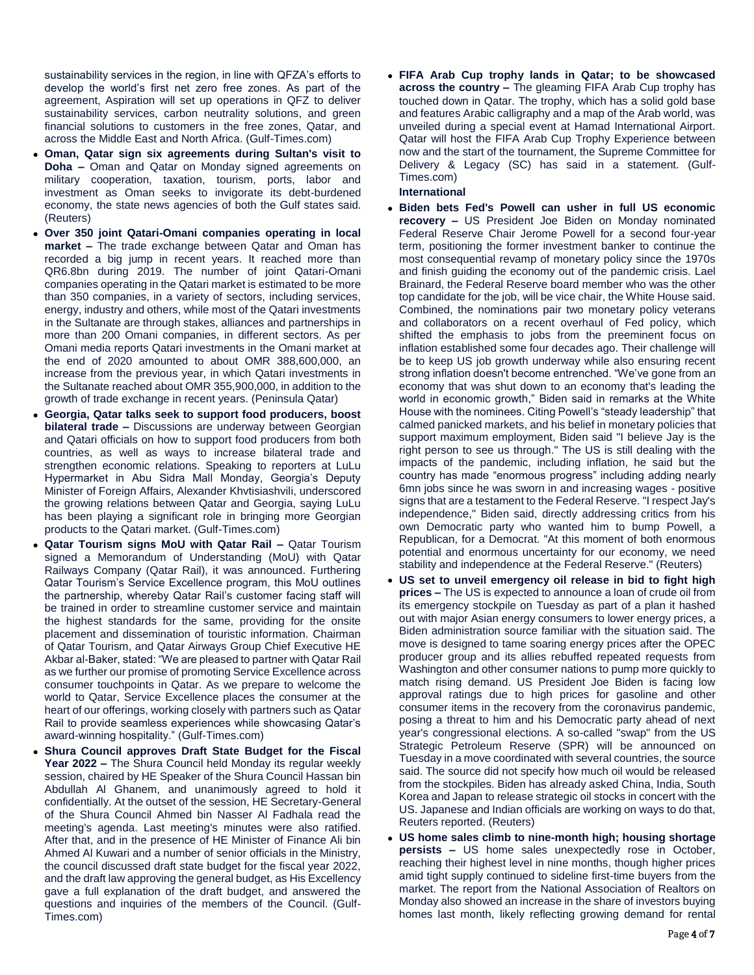sustainability services in the region, in line with QFZA's efforts to develop the world's first net zero free zones. As part of the agreement, Aspiration will set up operations in QFZ to deliver sustainability services, carbon neutrality solutions, and green financial solutions to customers in the free zones, Qatar, and across the Middle East and North Africa. (Gulf-Times.com)

- **Oman, Qatar sign six agreements during Sultan's visit to Doha –** Oman and Qatar on Monday signed agreements on military cooperation, taxation, tourism, ports, labor and investment as Oman seeks to invigorate its debt-burdened economy, the state news agencies of both the Gulf states said. (Reuters)
- **Over 350 joint Qatari-Omani companies operating in local market –** The trade exchange between Qatar and Oman has recorded a big jump in recent years. It reached more than QR6.8bn during 2019. The number of joint Qatari-Omani companies operating in the Qatari market is estimated to be more than 350 companies, in a variety of sectors, including services, energy, industry and others, while most of the Qatari investments in the Sultanate are through stakes, alliances and partnerships in more than 200 Omani companies, in different sectors. As per Omani media reports Qatari investments in the Omani market at the end of 2020 amounted to about OMR 388,600,000, an increase from the previous year, in which Qatari investments in the Sultanate reached about OMR 355,900,000, in addition to the growth of trade exchange in recent years. (Peninsula Qatar)
- **Georgia, Qatar talks seek to support food producers, boost bilateral trade –** Discussions are underway between Georgian and Qatari officials on how to support food producers from both countries, as well as ways to increase bilateral trade and strengthen economic relations. Speaking to reporters at LuLu Hypermarket in Abu Sidra Mall Monday, Georgia's Deputy Minister of Foreign Affairs, Alexander Khvtisiashvili, underscored the growing relations between Qatar and Georgia, saying LuLu has been playing a significant role in bringing more Georgian products to the Qatari market. (Gulf-Times.com)
- **Qatar Tourism signs MoU with Qatar Rail –** Qatar Tourism signed a Memorandum of Understanding (MoU) with Qatar Railways Company (Qatar Rail), it was announced. Furthering Qatar Tourism's Service Excellence program, this MoU outlines the partnership, whereby Qatar Rail's customer facing staff will be trained in order to streamline customer service and maintain the highest standards for the same, providing for the onsite placement and dissemination of touristic information. Chairman of Qatar Tourism, and Qatar Airways Group Chief Executive HE Akbar al-Baker, stated: "We are pleased to partner with Qatar Rail as we further our promise of promoting Service Excellence across consumer touchpoints in Qatar. As we prepare to welcome the world to Qatar, Service Excellence places the consumer at the heart of our offerings, working closely with partners such as Qatar Rail to provide seamless experiences while showcasing Qatar's award-winning hospitality." (Gulf-Times.com)
- **Shura Council approves Draft State Budget for the Fiscal Year 2022 –** The Shura Council held Monday its regular weekly session, chaired by HE Speaker of the Shura Council Hassan bin Abdullah Al Ghanem, and unanimously agreed to hold it confidentially. At the outset of the session, HE Secretary-General of the Shura Council Ahmed bin Nasser Al Fadhala read the meeting's agenda. Last meeting's minutes were also ratified. After that, and in the presence of HE Minister of Finance Ali bin Ahmed Al Kuwari and a number of senior officials in the Ministry, the council discussed draft state budget for the fiscal year 2022, and the draft law approving the general budget, as His Excellency gave a full explanation of the draft budget, and answered the questions and inquiries of the members of the Council. (Gulf-Times.com)

 **FIFA Arab Cup trophy lands in Qatar; to be showcased across the country –** The gleaming FIFA Arab Cup trophy has touched down in Qatar. The trophy, which has a solid gold base and features Arabic calligraphy and a map of the Arab world, was unveiled during a special event at Hamad International Airport. Qatar will host the FIFA Arab Cup Trophy Experience between now and the start of the tournament, the Supreme Committee for Delivery & Legacy (SC) has said in a statement. (Gulf-Times.com)

### **International**

- **Biden bets Fed's Powell can usher in full US economic recovery –** US President Joe Biden on Monday nominated Federal Reserve Chair Jerome Powell for a second four-year term, positioning the former investment banker to continue the most consequential revamp of monetary policy since the 1970s and finish guiding the economy out of the pandemic crisis. Lael Brainard, the Federal Reserve board member who was the other top candidate for the job, will be vice chair, the White House said. Combined, the nominations pair two monetary policy veterans and collaborators on a recent overhaul of Fed policy, which shifted the emphasis to jobs from the preeminent focus on inflation established some four decades ago. Their challenge will be to keep US job growth underway while also ensuring recent strong inflation doesn't become entrenched. "We've gone from an economy that was shut down to an economy that's leading the world in economic growth," Biden said in remarks at the White House with the nominees. Citing Powell's "steady leadership" that calmed panicked markets, and his belief in monetary policies that support maximum employment, Biden said "I believe Jay is the right person to see us through." The US is still dealing with the impacts of the pandemic, including inflation, he said but the country has made "enormous progress" including adding nearly 6mn jobs since he was sworn in and increasing wages - positive signs that are a testament to the Federal Reserve. "I respect Jay's independence," Biden said, directly addressing critics from his own Democratic party who wanted him to bump Powell, a Republican, for a Democrat. "At this moment of both enormous potential and enormous uncertainty for our economy, we need stability and independence at the Federal Reserve." (Reuters)
- **US set to unveil emergency oil release in bid to fight high prices –** The US is expected to announce a loan of crude oil from its emergency stockpile on Tuesday as part of a plan it hashed out with major Asian energy consumers to lower energy prices, a Biden administration source familiar with the situation said. The move is designed to tame soaring energy prices after the OPEC producer group and its allies rebuffed repeated requests from Washington and other consumer nations to pump more quickly to match rising demand. US President Joe Biden is facing low approval ratings due to high prices for gasoline and other consumer items in the recovery from the coronavirus pandemic, posing a threat to him and his Democratic party ahead of next year's congressional elections. A so-called "swap" from the US Strategic Petroleum Reserve (SPR) will be announced on Tuesday in a move coordinated with several countries, the source said. The source did not specify how much oil would be released from the stockpiles. Biden has already asked China, India, South Korea and Japan to release strategic oil stocks in concert with the US. Japanese and Indian officials are working on ways to do that, Reuters reported. (Reuters)
- **US home sales climb to nine-month high; housing shortage persists –** US home sales unexpectedly rose in October, reaching their highest level in nine months, though higher prices amid tight supply continued to sideline first-time buyers from the market. The report from the National Association of Realtors on Monday also showed an increase in the share of investors buying homes last month, likely reflecting growing demand for rental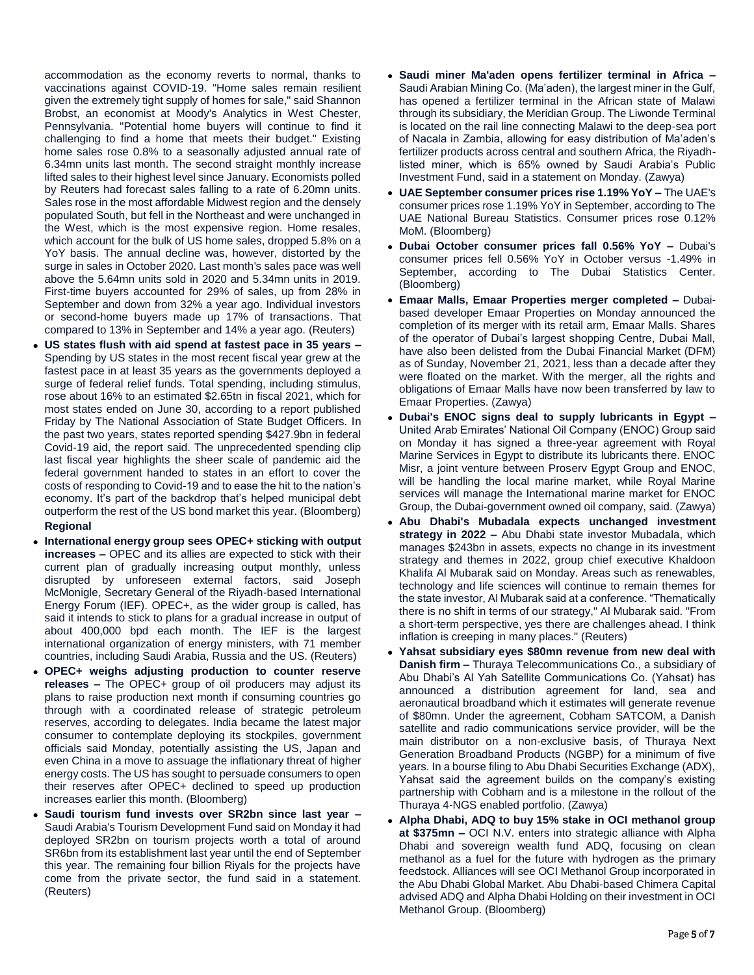accommodation as the economy reverts to normal, thanks to vaccinations against COVID-19. "Home sales remain resilient given the extremely tight supply of homes for sale," said Shannon Brobst, an economist at Moody's Analytics in West Chester, Pennsylvania. "Potential home buyers will continue to find it challenging to find a home that meets their budget." Existing home sales rose 0.8% to a seasonally adjusted annual rate of 6.34mn units last month. The second straight monthly increase lifted sales to their highest level since January. Economists polled by Reuters had forecast sales falling to a rate of 6.20mn units. Sales rose in the most affordable Midwest region and the densely populated South, but fell in the Northeast and were unchanged in the West, which is the most expensive region. Home resales, which account for the bulk of US home sales, dropped 5.8% on a YoY basis. The annual decline was, however, distorted by the surge in sales in October 2020. Last month's sales pace was well above the 5.64mn units sold in 2020 and 5.34mn units in 2019. First-time buyers accounted for 29% of sales, up from 28% in September and down from 32% a year ago. Individual investors or second-home buyers made up 17% of transactions. That compared to 13% in September and 14% a year ago. (Reuters)

- **US states flush with aid spend at fastest pace in 35 years –** Spending by US states in the most recent fiscal year grew at the fastest pace in at least 35 years as the governments deployed a surge of federal relief funds. Total spending, including stimulus, rose about 16% to an estimated \$2.65tn in fiscal 2021, which for most states ended on June 30, according to a report published Friday by The National Association of State Budget Officers. In the past two years, states reported spending \$427.9bn in federal Covid-19 aid, the report said. The unprecedented spending clip last fiscal year highlights the sheer scale of pandemic aid the federal government handed to states in an effort to cover the costs of responding to Covid-19 and to ease the hit to the nation's economy. It's part of the backdrop that's helped municipal debt outperform the rest of the US bond market this year. (Bloomberg) **Regional**
- **International energy group sees OPEC+ sticking with output increases –** OPEC and its allies are expected to stick with their current plan of gradually increasing output monthly, unless disrupted by unforeseen external factors, said Joseph McMonigle, Secretary General of the Riyadh-based International Energy Forum (IEF). OPEC+, as the wider group is called, has said it intends to stick to plans for a gradual increase in output of about 400,000 bpd each month. The IEF is the largest international organization of energy ministers, with 71 member countries, including Saudi Arabia, Russia and the US. (Reuters)
- **OPEC+ weighs adjusting production to counter reserve releases –** The OPEC+ group of oil producers may adjust its plans to raise production next month if consuming countries go through with a coordinated release of strategic petroleum reserves, according to delegates. India became the latest major consumer to contemplate deploying its stockpiles, government officials said Monday, potentially assisting the US, Japan and even China in a move to assuage the inflationary threat of higher energy costs. The US has sought to persuade consumers to open their reserves after OPEC+ declined to speed up production increases earlier this month. (Bloomberg)
- **Saudi tourism fund invests over SR2bn since last year –** Saudi Arabia's Tourism Development Fund said on Monday it had deployed SR2bn on tourism projects worth a total of around SR6bn from its establishment last year until the end of September this year. The remaining four billion Riyals for the projects have come from the private sector, the fund said in a statement. (Reuters)
- **Saudi miner Ma'aden opens fertilizer terminal in Africa –** Saudi Arabian Mining Co. (Ma'aden), the largest miner in the Gulf, has opened a fertilizer terminal in the African state of Malawi through its subsidiary, the Meridian Group. The Liwonde Terminal is located on the rail line connecting Malawi to the deep-sea port of Nacala in Zambia, allowing for easy distribution of Ma'aden's fertilizer products across central and southern Africa, the Riyadhlisted miner, which is 65% owned by Saudi Arabia's Public Investment Fund, said in a statement on Monday. (Zawya)
- **UAE September consumer prices rise 1.19% YoY –** The UAE's consumer prices rose 1.19% YoY in September, according to The UAE National Bureau Statistics. Consumer prices rose 0.12% MoM. (Bloomberg)
- **Dubai October consumer prices fall 0.56% YoY –** Dubai's consumer prices fell 0.56% YoY in October versus -1.49% in September, according to The Dubai Statistics Center. (Bloomberg)
- **Emaar Malls, Emaar Properties merger completed –** Dubaibased developer Emaar Properties on Monday announced the completion of its merger with its retail arm, Emaar Malls. Shares of the operator of Dubai's largest shopping Centre, Dubai Mall, have also been delisted from the Dubai Financial Market (DFM) as of Sunday, November 21, 2021, less than a decade after they were floated on the market. With the merger, all the rights and obligations of Emaar Malls have now been transferred by law to Emaar Properties. (Zawya)
- **Dubai's ENOC signs deal to supply lubricants in Egypt –** United Arab Emirates' National Oil Company (ENOC) Group said on Monday it has signed a three-year agreement with Royal Marine Services in Egypt to distribute its lubricants there. ENOC Misr, a joint venture between Proserv Egypt Group and ENOC, will be handling the local marine market, while Royal Marine services will manage the International marine market for ENOC Group, the Dubai-government owned oil company, said. (Zawya)
- **Abu Dhabi's Mubadala expects unchanged investment strategy in 2022 –** Abu Dhabi state investor Mubadala, which manages \$243bn in assets, expects no change in its investment strategy and themes in 2022, group chief executive Khaldoon Khalifa Al Mubarak said on Monday. Areas such as renewables, technology and life sciences will continue to remain themes for the state investor, Al Mubarak said at a conference. "Thematically there is no shift in terms of our strategy," Al Mubarak said. "From a short-term perspective, yes there are challenges ahead. I think inflation is creeping in many places." (Reuters)
- **Yahsat subsidiary eyes \$80mn revenue from new deal with Danish firm –** Thuraya Telecommunications Co., a subsidiary of Abu Dhabi's Al Yah Satellite Communications Co. (Yahsat) has announced a distribution agreement for land, sea and aeronautical broadband which it estimates will generate revenue of \$80mn. Under the agreement, Cobham SATCOM, a Danish satellite and radio communications service provider, will be the main distributor on a non-exclusive basis, of Thuraya Next Generation Broadband Products (NGBP) for a minimum of five years. In a bourse filing to Abu Dhabi Securities Exchange (ADX), Yahsat said the agreement builds on the company's existing partnership with Cobham and is a milestone in the rollout of the Thuraya 4-NGS enabled portfolio. (Zawya)
- **Alpha Dhabi, ADQ to buy 15% stake in OCI methanol group at \$375mn –** OCI N.V. enters into strategic alliance with Alpha Dhabi and sovereign wealth fund ADQ, focusing on clean methanol as a fuel for the future with hydrogen as the primary feedstock. Alliances will see OCI Methanol Group incorporated in the Abu Dhabi Global Market. Abu Dhabi-based Chimera Capital advised ADQ and Alpha Dhabi Holding on their investment in OCI Methanol Group. (Bloomberg)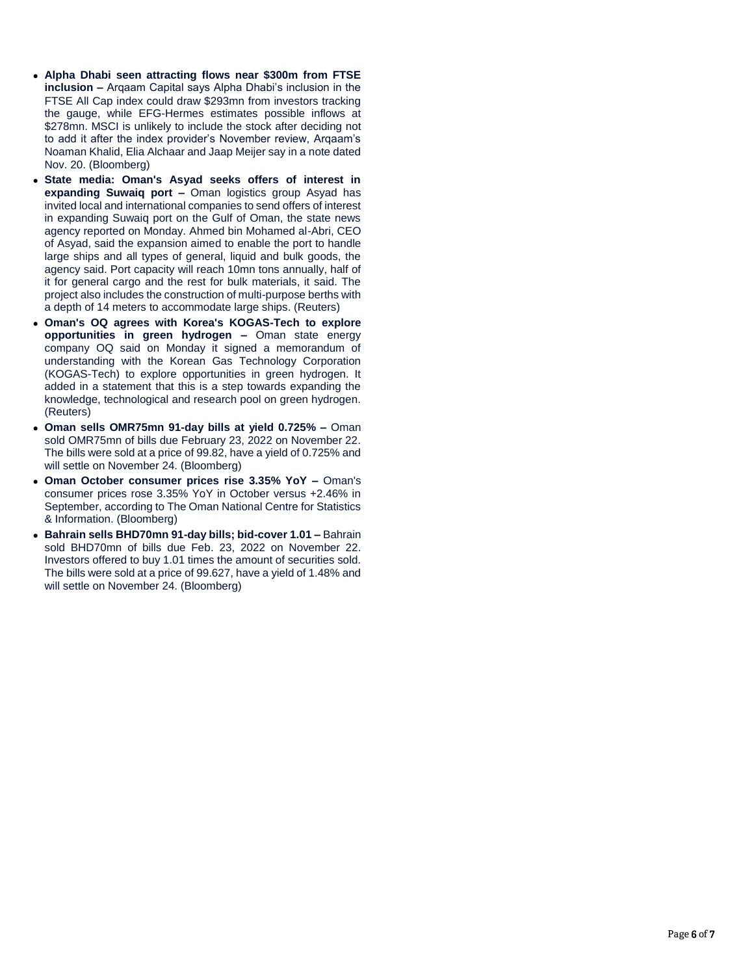- **Alpha Dhabi seen attracting flows near \$300m from FTSE inclusion –** Arqaam Capital says Alpha Dhabi's inclusion in the FTSE All Cap index could draw \$293mn from investors tracking the gauge, while EFG-Hermes estimates possible inflows at \$278mn. MSCI is unlikely to include the stock after deciding not to add it after the index provider's November review, Arqaam's Noaman Khalid, Elia Alchaar and Jaap Meijer say in a note dated Nov. 20. (Bloomberg)
- **State media: Oman's Asyad seeks offers of interest in expanding Suwaiq port –** Oman logistics group Asyad has invited local and international companies to send offers of interest in expanding Suwaiq port on the Gulf of Oman, the state news agency reported on Monday. Ahmed bin Mohamed al-Abri, CEO of Asyad, said the expansion aimed to enable the port to handle large ships and all types of general, liquid and bulk goods, the agency said. Port capacity will reach 10mn tons annually, half of it for general cargo and the rest for bulk materials, it said. The project also includes the construction of multi-purpose berths with a depth of 14 meters to accommodate large ships. (Reuters)
- **Oman's OQ agrees with Korea's KOGAS-Tech to explore opportunities in green hydrogen –** Oman state energy company OQ said on Monday it signed a memorandum of understanding with the Korean Gas Technology Corporation (KOGAS-Tech) to explore opportunities in green hydrogen. It added in a statement that this is a step towards expanding the knowledge, technological and research pool on green hydrogen. (Reuters)
- **Oman sells OMR75mn 91-day bills at yield 0.725% –** Oman sold OMR75mn of bills due February 23, 2022 on November 22. The bills were sold at a price of 99.82, have a yield of 0.725% and will settle on November 24. (Bloomberg)
- **Oman October consumer prices rise 3.35% YoY –** Oman's consumer prices rose 3.35% YoY in October versus +2.46% in September, according to The Oman National Centre for Statistics & Information. (Bloomberg)
- **Bahrain sells BHD70mn 91-day bills; bid-cover 1.01 –** Bahrain sold BHD70mn of bills due Feb. 23, 2022 on November 22. Investors offered to buy 1.01 times the amount of securities sold. The bills were sold at a price of 99.627, have a yield of 1.48% and will settle on November 24. (Bloomberg)